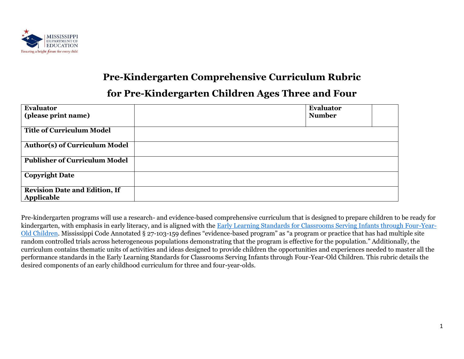

# **Pre-Kindergarten Comprehensive Curriculum Rubric**

## **for Pre-Kindergarten Children Ages Three and Four**

| <b>Evaluator</b>                                   | <b>Evaluator</b> |  |
|----------------------------------------------------|------------------|--|
| (please print name)                                | <b>Number</b>    |  |
| Title of Curriculum Model                          |                  |  |
| <b>Author(s) of Curriculum Model</b>               |                  |  |
| <b>Publisher of Curriculum Model</b>               |                  |  |
| <b>Copyright Date</b>                              |                  |  |
| <b>Revision Date and Edition, If</b><br>Applicable |                  |  |

Pre-kindergarten programs will use a research- and evidence-based comprehensive curriculum that is designed to prepare children to be ready for kindergarten, with emphasis in early literacy, and is aligned with the [Early Learning Standards for Classrooms Serving Infants through Four-Year-](https://www.mdek12.org/sites/default/files/documents/OAE/OEER/Early%20Childhood/Infants%20through%20Four-Year-Old%20Early%20Learning%20Standards%202018.05.16%20-%20APA.pdf)[Old Children.](https://www.mdek12.org/sites/default/files/documents/OAE/OEER/Early%20Childhood/Infants%20through%20Four-Year-Old%20Early%20Learning%20Standards%202018.05.16%20-%20APA.pdf) Mississippi Code Annotated § 27-103-159 defines "evidence-based program" as "a program or practice that has had multiple site random controlled trials across heterogeneous populations demonstrating that the program is effective for the population." Additionally, the curriculum contains thematic units of activities and ideas designed to provide children the opportunities and experiences needed to master all the performance standards in the Early Learning Standards for Classrooms Serving Infants through Four-Year-Old Children. This rubric details the desired components of an early childhood curriculum for three and four-year-olds.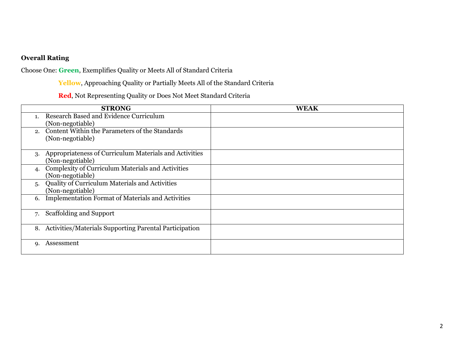### **Overall Rating**

Choose One: **Green**, Exemplifies Quality or Meets All of Standard Criteria

**Yellow**, Approaching Quality or Partially Meets All of the Standard Criteria

### **Red**, Not Representing Quality or Does Not Meet Standard Criteria

| <b>STRONG</b>                                                  | <b>WEAK</b> |
|----------------------------------------------------------------|-------------|
| Research Based and Evidence Curriculum<br>$\mathbf{1}$ .       |             |
| (Non-negotiable)                                               |             |
| Content Within the Parameters of the Standards<br>$2^{\circ}$  |             |
| (Non-negotiable)                                               |             |
|                                                                |             |
| Appropriateness of Curriculum Materials and Activities<br>3.   |             |
| (Non-negotiable)                                               |             |
| Complexity of Curriculum Materials and Activities              |             |
| (Non-negotiable)                                               |             |
| Quality of Curriculum Materials and Activities<br>5.           |             |
| (Non-negotiable)                                               |             |
| <b>Implementation Format of Materials and Activities</b><br>6. |             |
|                                                                |             |
| <b>Scaffolding and Support</b><br>7.                           |             |
|                                                                |             |
| Activities/Materials Supporting Parental Participation<br>8.   |             |
|                                                                |             |
| Assessment                                                     |             |
|                                                                |             |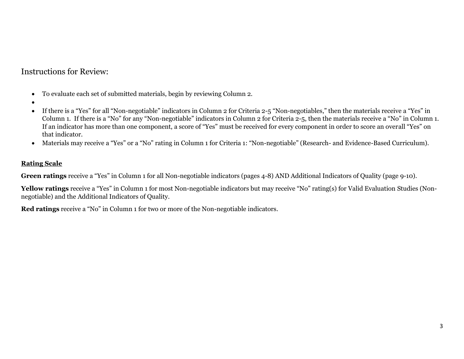Instructions for Review:

- To evaluate each set of submitted materials, begin by reviewing Column 2.
- •
- If there is a "Yes" for all "Non-negotiable" indicators in Column 2 for Criteria 2-5 "Non-negotiables," then the materials receive a "Yes" in Column 1. If there is a "No" for any "Non-negotiable" indicators in Column 2 for Criteria 2-5, then the materials receive a "No" in Column 1. If an indicator has more than one component, a score of "Yes" must be received for every component in order to score an overall "Yes" on that indicator.
- Materials may receive a "Yes" or a "No" rating in Column 1 for Criteria 1: "Non-negotiable" (Research- and Evidence-Based Curriculum).

#### **Rating Scale**

**Green ratings** receive a "Yes" in Column 1 for all Non-negotiable indicators (pages 4-8) AND Additional Indicators of Quality (page 9-10).

Yellow ratings receive a "Yes" in Column 1 for most Non-negotiable indicators but may receive "No" rating(s) for Valid Evaluation Studies (Nonnegotiable) and the Additional Indicators of Quality.

**Red ratings** receive a "No" in Column 1 for two or more of the Non-negotiable indicators.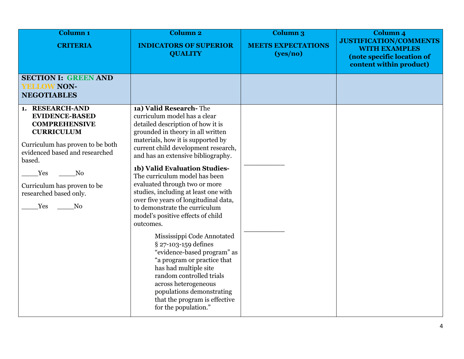| Column <sub>1</sub><br><b>CRITERIA</b>                                                                                                                                                                                                                               | <b>Column 2</b><br><b>INDICATORS OF SUPERIOR</b>                                                                                                                                                                                                                                                                                                                                                                                                                                                                                                                                                                                                                                                                                                                                                                 | <b>Column 3</b><br><b>MEETS EXPECTATIONS</b> | Column <sub>4</sub><br><b>JUSTIFICATION/COMMENTS</b>                          |
|----------------------------------------------------------------------------------------------------------------------------------------------------------------------------------------------------------------------------------------------------------------------|------------------------------------------------------------------------------------------------------------------------------------------------------------------------------------------------------------------------------------------------------------------------------------------------------------------------------------------------------------------------------------------------------------------------------------------------------------------------------------------------------------------------------------------------------------------------------------------------------------------------------------------------------------------------------------------------------------------------------------------------------------------------------------------------------------------|----------------------------------------------|-------------------------------------------------------------------------------|
|                                                                                                                                                                                                                                                                      | <b>QUALITY</b>                                                                                                                                                                                                                                                                                                                                                                                                                                                                                                                                                                                                                                                                                                                                                                                                   | (yes/no)                                     | <b>WITH EXAMPLES</b><br>(note specific location of<br>content within product) |
| <b>SECTION I: GREEN AND</b><br><b>YELLOW NON-</b><br><b>NEGOTIABLES</b>                                                                                                                                                                                              |                                                                                                                                                                                                                                                                                                                                                                                                                                                                                                                                                                                                                                                                                                                                                                                                                  |                                              |                                                                               |
| 1. RESEARCH-AND<br><b>EVIDENCE-BASED</b><br><b>COMPREHENSIVE</b><br><b>CURRICULUM</b><br>Curriculum has proven to be both<br>evidenced based and researched<br>based.<br>Yes<br>No<br>Curriculum has proven to be<br>researched based only.<br>Yes<br>N <sub>o</sub> | 1a) Valid Research-The<br>curriculum model has a clear<br>detailed description of how it is<br>grounded in theory in all written<br>materials, how it is supported by<br>current child development research,<br>and has an extensive bibliography.<br>1b) Valid Evaluation Studies-<br>The curriculum model has been<br>evaluated through two or more<br>studies, including at least one with<br>over five years of longitudinal data,<br>to demonstrate the curriculum<br>model's positive effects of child<br>outcomes.<br>Mississippi Code Annotated<br>§ 27-103-159 defines<br>"evidence-based program" as<br>"a program or practice that<br>has had multiple site<br>random controlled trials<br>across heterogeneous<br>populations demonstrating<br>that the program is effective<br>for the population." |                                              |                                                                               |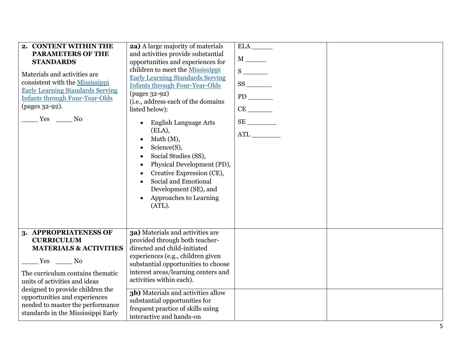| 2. CONTENT WITHIN THE<br><b>PARAMETERS OF THE</b>      | <b>2a)</b> A large majority of materials<br>and activities provide substantial |             |  |
|--------------------------------------------------------|--------------------------------------------------------------------------------|-------------|--|
| <b>STANDARDS</b>                                       | opportunities and experiences for                                              |             |  |
| Materials and activities are                           | children to meet the Mississippi                                               |             |  |
| consistent with the Mississippi                        | <b>Early Learning Standards Serving</b>                                        |             |  |
| <b>Early Learning Standards Serving</b>                | <b>Infants through Four-Year-Olds</b><br>(pages 32-92)                         |             |  |
| <b>Infants through Four-Year-Olds</b>                  | (i.e., address each of the domains                                             |             |  |
| (pages 32-92).                                         | listed below):                                                                 |             |  |
| Yes No                                                 |                                                                                |             |  |
|                                                        | <b>English Language Arts</b>                                                   | $\text{SE}$ |  |
|                                                        | (ELA),                                                                         |             |  |
|                                                        | Math (M),<br>Science(S),                                                       |             |  |
|                                                        | Social Studies (SS),                                                           |             |  |
|                                                        | Physical Development (PD),                                                     |             |  |
|                                                        | Creative Expression (CE),                                                      |             |  |
|                                                        | Social and Emotional                                                           |             |  |
|                                                        | Development (SE), and                                                          |             |  |
|                                                        | Approaches to Learning                                                         |             |  |
|                                                        | (ATL).                                                                         |             |  |
|                                                        |                                                                                |             |  |
|                                                        |                                                                                |             |  |
| 3. APPROPRIATENESS OF                                  | 3a) Materials and activities are                                               |             |  |
| <b>CURRICULUM</b><br><b>MATERIALS &amp; ACTIVITIES</b> | provided through both teacher-<br>directed and child-initiated                 |             |  |
|                                                        | experiences (e.g., children given                                              |             |  |
| $Yes$ No                                               | substantial opportunities to choose                                            |             |  |
| The curriculum contains thematic                       | interest areas/learning centers and                                            |             |  |
| units of activities and ideas                          | activities within each).                                                       |             |  |
| designed to provide children the                       | 3b) Materials and activities allow                                             |             |  |
| opportunities and experiences                          | substantial opportunities for                                                  |             |  |
| needed to master the performance                       | frequent practice of skills using                                              |             |  |
| standards in the Mississippi Early                     | interactive and hands-on                                                       |             |  |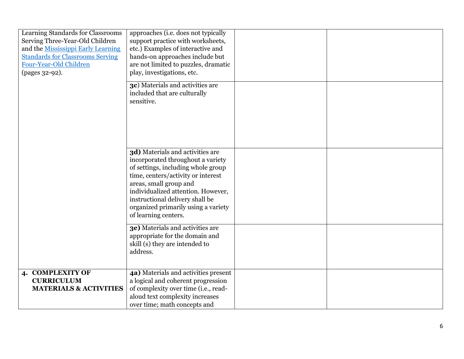| Learning Standards for Classrooms<br>Serving Three-Year-Old Children<br>and the Mississippi Early Learning<br><b>Standards for Classrooms Serving</b><br>Four-Year-Old Children<br>(pages 32-92). | approaches (i.e. does not typically<br>support practice with worksheets,<br>etc.) Examples of interactive and<br>hands-on approaches include but<br>are not limited to puzzles, dramatic<br>play, investigations, etc.                                                                                              |  |
|---------------------------------------------------------------------------------------------------------------------------------------------------------------------------------------------------|---------------------------------------------------------------------------------------------------------------------------------------------------------------------------------------------------------------------------------------------------------------------------------------------------------------------|--|
|                                                                                                                                                                                                   | 3c) Materials and activities are<br>included that are culturally<br>sensitive.                                                                                                                                                                                                                                      |  |
|                                                                                                                                                                                                   | 3d) Materials and activities are<br>incorporated throughout a variety<br>of settings, including whole group<br>time, centers/activity or interest<br>areas, small group and<br>individualized attention. However,<br>instructional delivery shall be<br>organized primarily using a variety<br>of learning centers. |  |
|                                                                                                                                                                                                   | 3e) Materials and activities are<br>appropriate for the domain and<br>skill (s) they are intended to<br>address.                                                                                                                                                                                                    |  |
| 4. COMPLEXITY OF<br><b>CURRICULUM</b><br><b>MATERIALS &amp; ACTIVITIES</b>                                                                                                                        | 4a) Materials and activities present<br>a logical and coherent progression<br>of complexity over time (i.e., read-<br>aloud text complexity increases<br>over time; math concepts and                                                                                                                               |  |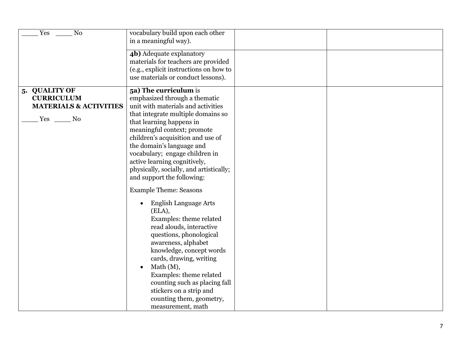| 4b) Adequate explanatory<br>materials for teachers are provided<br>(e.g., explicit instructions on how to<br>use materials or conduct lessons).<br>5. QUALITY OF<br>5a) The curriculum is<br><b>CURRICULUM</b><br>emphasized through a thematic<br>unit with materials and activities<br><b>MATERIALS &amp; ACTIVITIES</b><br>that integrate multiple domains so<br>Yes<br>$\sim$ No<br>that learning happens in<br>meaningful context; promote<br>children's acquisition and use of<br>the domain's language and<br>vocabulary; engage children in<br>active learning cognitively,<br>physically, socially, and artistically;<br>and support the following:<br><b>Example Theme: Seasons</b><br><b>English Language Arts</b><br>(ELA),<br>Examples: theme related<br>read alouds, interactive<br>questions, phonological<br>awareness, alphabet<br>knowledge, concept words<br>cards, drawing, writing<br>Math $(M)$ ,<br>Examples: theme related<br>counting such as placing fall | Yes<br>N <sub>o</sub> | vocabulary build upon each other<br>in a meaningful way). |  |
|-------------------------------------------------------------------------------------------------------------------------------------------------------------------------------------------------------------------------------------------------------------------------------------------------------------------------------------------------------------------------------------------------------------------------------------------------------------------------------------------------------------------------------------------------------------------------------------------------------------------------------------------------------------------------------------------------------------------------------------------------------------------------------------------------------------------------------------------------------------------------------------------------------------------------------------------------------------------------------------|-----------------------|-----------------------------------------------------------|--|
|                                                                                                                                                                                                                                                                                                                                                                                                                                                                                                                                                                                                                                                                                                                                                                                                                                                                                                                                                                                     |                       |                                                           |  |
| stickers on a strip and<br>counting them, geometry,<br>measurement, math                                                                                                                                                                                                                                                                                                                                                                                                                                                                                                                                                                                                                                                                                                                                                                                                                                                                                                            |                       |                                                           |  |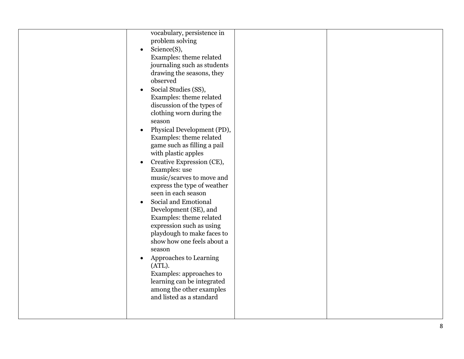| vocabulary, persistence in<br>problem solving<br>Science(S),<br>$\bullet$<br>Examples: theme related<br>journaling such as students<br>drawing the seasons, they<br>observed<br>Social Studies (SS),<br>Examples: theme related<br>discussion of the types of<br>clothing worn during the<br>season<br>Physical Development (PD),<br>Examples: theme related<br>game such as filling a pail<br>with plastic apples<br>Creative Expression (CE),<br>$\bullet$<br>Examples: use<br>music/scarves to move and<br>express the type of weather<br>seen in each season<br>Social and Emotional<br>$\bullet$<br>Development (SE), and<br>Examples: theme related<br>expression such as using<br>playdough to make faces to<br>show how one feels about a<br>season<br>Approaches to Learning<br>(ATL).<br>Examples: approaches to<br>learning can be integrated<br>among the other examples<br>and listed as a standard |  |
|------------------------------------------------------------------------------------------------------------------------------------------------------------------------------------------------------------------------------------------------------------------------------------------------------------------------------------------------------------------------------------------------------------------------------------------------------------------------------------------------------------------------------------------------------------------------------------------------------------------------------------------------------------------------------------------------------------------------------------------------------------------------------------------------------------------------------------------------------------------------------------------------------------------|--|
|------------------------------------------------------------------------------------------------------------------------------------------------------------------------------------------------------------------------------------------------------------------------------------------------------------------------------------------------------------------------------------------------------------------------------------------------------------------------------------------------------------------------------------------------------------------------------------------------------------------------------------------------------------------------------------------------------------------------------------------------------------------------------------------------------------------------------------------------------------------------------------------------------------------|--|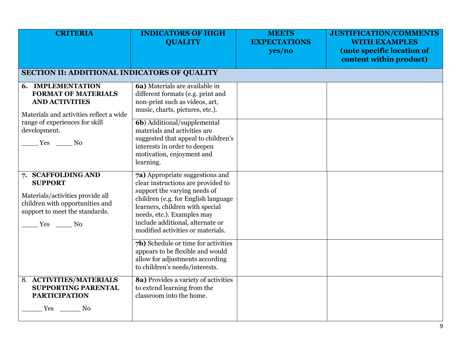| <b>CRITERIA</b>                                                                                                                                                                        | <b>INDICATORS OF HIGH</b><br><b>QUALITY</b>                                                                                                                                                                                                                                                                                      | <b>MEETS</b><br><b>EXPECTATIONS</b><br>yes/no | <b>JUSTIFICATION/COMMENTS</b><br><b>WITH EXAMPLES</b><br>(note specific location of<br>content within product) |
|----------------------------------------------------------------------------------------------------------------------------------------------------------------------------------------|----------------------------------------------------------------------------------------------------------------------------------------------------------------------------------------------------------------------------------------------------------------------------------------------------------------------------------|-----------------------------------------------|----------------------------------------------------------------------------------------------------------------|
| <b>SECTION II: ADDITIONAL INDICATORS OF QUALITY</b>                                                                                                                                    |                                                                                                                                                                                                                                                                                                                                  |                                               |                                                                                                                |
| <b>6. IMPLEMENTATION</b><br><b>FORMAT OF MATERIALS</b><br><b>AND ACTIVITIES</b><br>Materials and activities reflect a wide<br>range of experiences for skill<br>development.<br>Yes No | 6a) Materials are available in<br>different formats (e.g. print and<br>non-print such as videos, art,<br>music, charts, pictures, etc.).<br><b>6b</b> ) Additional/supplemental<br>materials and activities are<br>suggested that appeal to children's<br>interests in order to deepen<br>motivation, enjoyment and<br>learning. |                                               |                                                                                                                |
| 7. SCAFFOLDING AND<br><b>SUPPORT</b><br>Materials/activities provide all<br>children with opportunities and<br>support to meet the standards.<br>Yes No                                | 7a) Appropriate suggestions and<br>clear instructions are provided to<br>support the varying needs of<br>children (e.g. for English language<br>learners, children with special<br>needs, etc.). Examples may<br>include additional, alternate or<br>modified activities or materials.                                           |                                               |                                                                                                                |
|                                                                                                                                                                                        | 7b) Schedule or time for activities<br>appears to be flexible and would<br>allow for adjustments according<br>to children's needs/interests.                                                                                                                                                                                     |                                               |                                                                                                                |
| 8. ACTIVITIES/MATERIALS<br><b>SUPPORTING PARENTAL</b><br><b>PARTICIPATION</b><br>Yes<br>No                                                                                             | 8a) Provides a variety of activities<br>to extend learning from the<br>classroom into the home.                                                                                                                                                                                                                                  |                                               |                                                                                                                |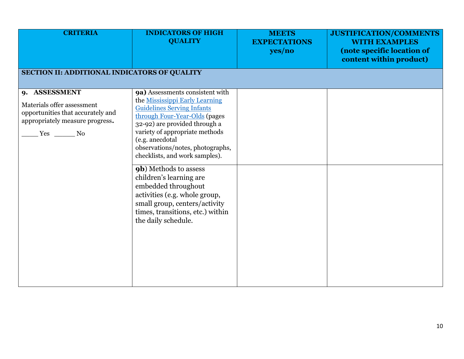| <b>CRITERIA</b>                                                                                                                      | <b>INDICATORS OF HIGH</b><br><b>QUALITY</b>                                                                                                                                                                                                                                                                                                                                                                                                                                                                         | <b>MEETS</b><br><b>EXPECTATIONS</b><br>yes/no | JUSTIFICATION/COMMENTS<br><b>WITH EXAMPLES</b><br>(note specific location of<br>content within product) |
|--------------------------------------------------------------------------------------------------------------------------------------|---------------------------------------------------------------------------------------------------------------------------------------------------------------------------------------------------------------------------------------------------------------------------------------------------------------------------------------------------------------------------------------------------------------------------------------------------------------------------------------------------------------------|-----------------------------------------------|---------------------------------------------------------------------------------------------------------|
| SECTION II: ADDITIONAL INDICATORS OF QUALITY                                                                                         |                                                                                                                                                                                                                                                                                                                                                                                                                                                                                                                     |                                               |                                                                                                         |
| 9. ASSESSMENT<br>Materials offer assessment<br>opportunities that accurately and<br>appropriately measure progress.<br>$Yes \t\t No$ | 9a) Assessments consistent with<br>the Mississippi Early Learning<br><b>Guidelines Serving Infants</b><br>through Four-Year-Olds (pages<br>32-92) are provided through a<br>variety of appropriate methods<br>(e.g. anecdotal<br>observations/notes, photographs,<br>checklists, and work samples).<br><b>9b</b> ) Methods to assess<br>children's learning are<br>embedded throughout<br>activities (e.g. whole group,<br>small group, centers/activity<br>times, transitions, etc.) within<br>the daily schedule. |                                               |                                                                                                         |
|                                                                                                                                      |                                                                                                                                                                                                                                                                                                                                                                                                                                                                                                                     |                                               |                                                                                                         |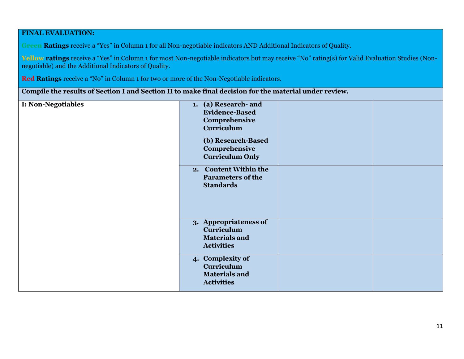#### **FINAL EVALUATION:**

**Green Ratings** receive a "Yes" in Column 1 for all Non-negotiable indicators AND Additional Indicators of Quality.

**Yellow ratings** receive a "Yes" in Column 1 for most Non-negotiable indicators but may receive "No" rating(s) for Valid Evaluation Studies (Nonnegotiable) and the Additional Indicators of Quality.

**Red Ratings** receive a "No" in Column 1 for two or more of the Non-Negotiable indicators.

**Compile the results of Section I and Section II to make final decision for the material under review.**

| <b>I: Non-Negotiables</b> | 1. (a) Research- and<br><b>Evidence-Based</b><br>Comprehensive<br><b>Curriculum</b><br>(b) Research-Based<br>Comprehensive |  |
|---------------------------|----------------------------------------------------------------------------------------------------------------------------|--|
|                           | <b>Curriculum Only</b>                                                                                                     |  |
|                           | 2. Content Within the<br><b>Parameters of the</b><br><b>Standards</b>                                                      |  |
|                           |                                                                                                                            |  |
|                           | 3. Appropriateness of<br><b>Curriculum</b><br><b>Materials and</b><br><b>Activities</b>                                    |  |
|                           | 4. Complexity of<br><b>Curriculum</b><br><b>Materials and</b><br><b>Activities</b>                                         |  |